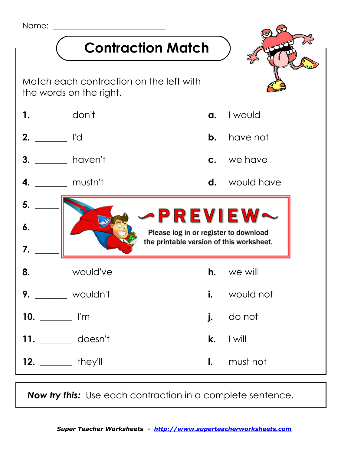

 *Now try this:* Use each contraction in a complete sentence.